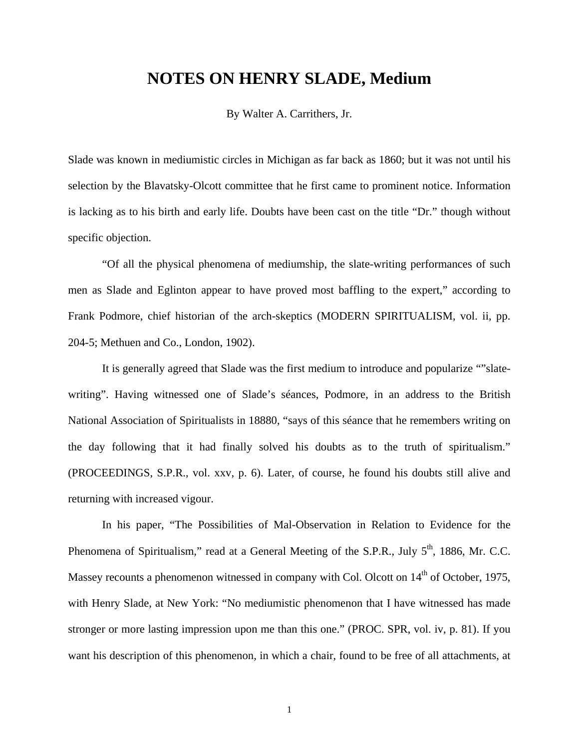## **NOTES ON HENRY SLADE, Medium**

By Walter A. Carrithers, Jr.

Slade was known in mediumistic circles in Michigan as far back as 1860; but it was not until his selection by the Blavatsky-Olcott committee that he first came to prominent notice. Information is lacking as to his birth and early life. Doubts have been cast on the title "Dr." though without specific objection.

"Of all the physical phenomena of mediumship, the slate-writing performances of such men as Slade and Eglinton appear to have proved most baffling to the expert," according to Frank Podmore, chief historian of the arch-skeptics (MODERN SPIRITUALISM, vol. ii, pp. 204-5; Methuen and Co., London, 1902).

It is generally agreed that Slade was the first medium to introduce and popularize ""slatewriting". Having witnessed one of Slade's séances, Podmore, in an address to the British National Association of Spiritualists in 18880, "says of this séance that he remembers writing on the day following that it had finally solved his doubts as to the truth of spiritualism." (PROCEEDINGS, S.P.R., vol. xxv, p. 6). Later, of course, he found his doubts still alive and returning with increased vigour.

In his paper, "The Possibilities of Mal-Observation in Relation to Evidence for the Phenomena of Spiritualism," read at a General Meeting of the S.P.R., July 5<sup>th</sup>, 1886, Mr. C.C. Massey recounts a phenomenon witnessed in company with Col. Olcott on 14<sup>th</sup> of October, 1975, with Henry Slade, at New York: "No mediumistic phenomenon that I have witnessed has made stronger or more lasting impression upon me than this one." (PROC. SPR, vol. iv, p. 81). If you want his description of this phenomenon, in which a chair, found to be free of all attachments, at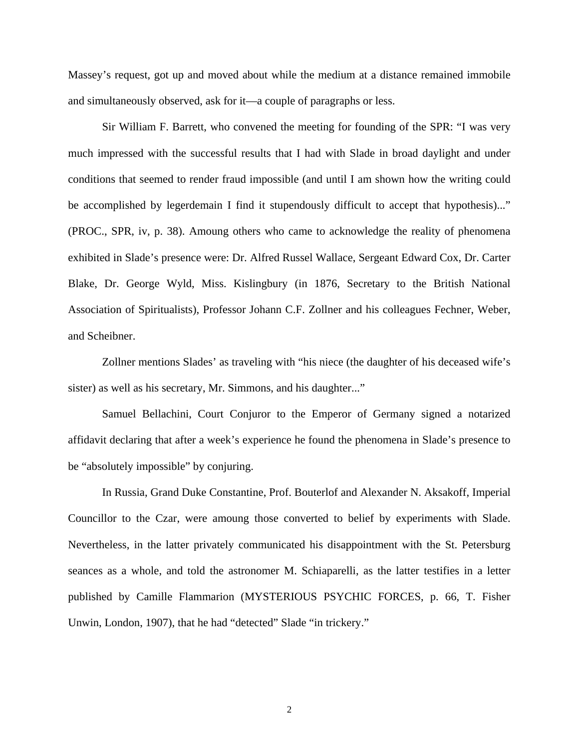Massey's request, got up and moved about while the medium at a distance remained immobile and simultaneously observed, ask for it—a couple of paragraphs or less.

Sir William F. Barrett, who convened the meeting for founding of the SPR: "I was very much impressed with the successful results that I had with Slade in broad daylight and under conditions that seemed to render fraud impossible (and until I am shown how the writing could be accomplished by legerdemain I find it stupendously difficult to accept that hypothesis)..." (PROC., SPR, iv, p. 38). Amoung others who came to acknowledge the reality of phenomena exhibited in Slade's presence were: Dr. Alfred Russel Wallace, Sergeant Edward Cox, Dr. Carter Blake, Dr. George Wyld, Miss. Kislingbury (in 1876, Secretary to the British National Association of Spiritualists), Professor Johann C.F. Zollner and his colleagues Fechner, Weber, and Scheibner.

Zollner mentions Slades' as traveling with "his niece (the daughter of his deceased wife's sister) as well as his secretary, Mr. Simmons, and his daughter..."

Samuel Bellachini, Court Conjuror to the Emperor of Germany signed a notarized affidavit declaring that after a week's experience he found the phenomena in Slade's presence to be "absolutely impossible" by conjuring.

In Russia, Grand Duke Constantine, Prof. Bouterlof and Alexander N. Aksakoff, Imperial Councillor to the Czar, were amoung those converted to belief by experiments with Slade. Nevertheless, in the latter privately communicated his disappointment with the St. Petersburg seances as a whole, and told the astronomer M. Schiaparelli, as the latter testifies in a letter published by Camille Flammarion (MYSTERIOUS PSYCHIC FORCES, p. 66, T. Fisher Unwin, London, 1907), that he had "detected" Slade "in trickery."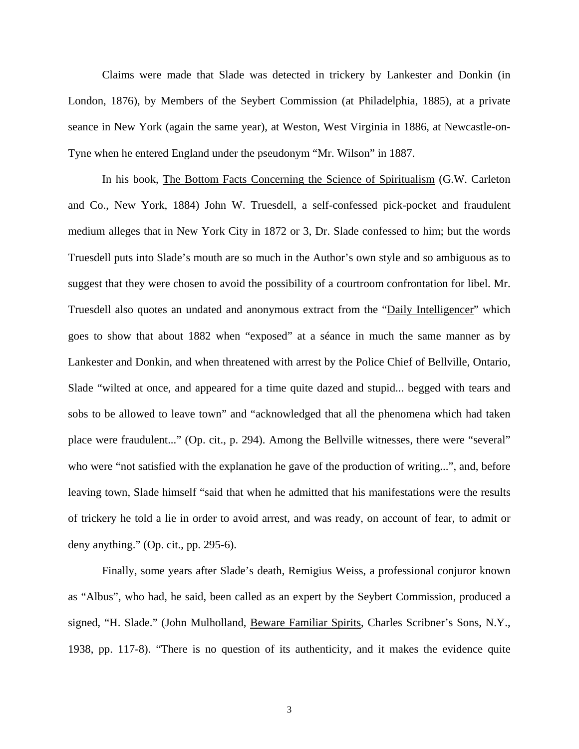Claims were made that Slade was detected in trickery by Lankester and Donkin (in London, 1876), by Members of the Seybert Commission (at Philadelphia, 1885), at a private seance in New York (again the same year), at Weston, West Virginia in 1886, at Newcastle-on-Tyne when he entered England under the pseudonym "Mr. Wilson" in 1887.

In his book, The Bottom Facts Concerning the Science of Spiritualism (G.W. Carleton and Co., New York, 1884) John W. Truesdell, a self-confessed pick-pocket and fraudulent medium alleges that in New York City in 1872 or 3, Dr. Slade confessed to him; but the words Truesdell puts into Slade's mouth are so much in the Author's own style and so ambiguous as to suggest that they were chosen to avoid the possibility of a courtroom confrontation for libel. Mr. Truesdell also quotes an undated and anonymous extract from the "Daily Intelligencer" which goes to show that about 1882 when "exposed" at a séance in much the same manner as by Lankester and Donkin, and when threatened with arrest by the Police Chief of Bellville, Ontario, Slade "wilted at once, and appeared for a time quite dazed and stupid... begged with tears and sobs to be allowed to leave town" and "acknowledged that all the phenomena which had taken place were fraudulent..." (Op. cit., p. 294). Among the Bellville witnesses, there were "several" who were "not satisfied with the explanation he gave of the production of writing...", and, before leaving town, Slade himself "said that when he admitted that his manifestations were the results of trickery he told a lie in order to avoid arrest, and was ready, on account of fear, to admit or deny anything." (Op. cit., pp. 295-6).

Finally, some years after Slade's death, Remigius Weiss, a professional conjuror known as "Albus", who had, he said, been called as an expert by the Seybert Commission, produced a signed, "H. Slade." (John Mulholland, Beware Familiar Spirits, Charles Scribner's Sons, N.Y., 1938, pp. 117-8). "There is no question of its authenticity, and it makes the evidence quite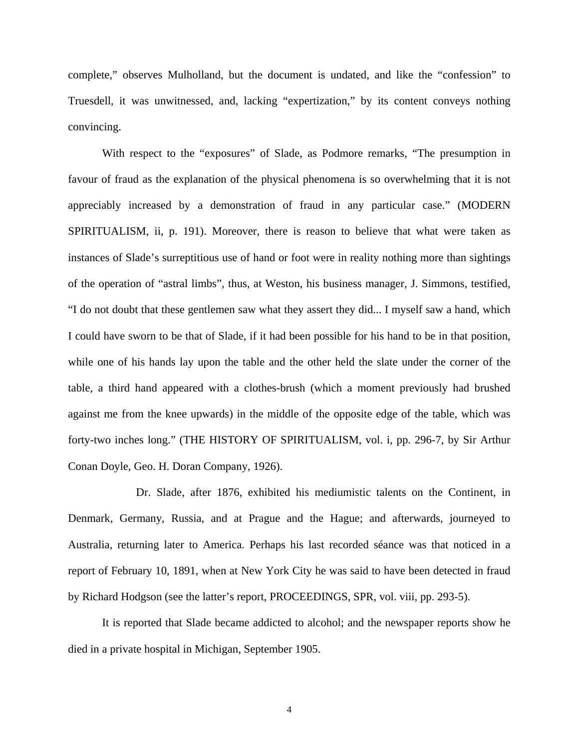complete," observes Mulholland, but the document is undated, and like the "confession" to Truesdell, it was unwitnessed, and, lacking "expertization," by its content conveys nothing convincing.

With respect to the "exposures" of Slade, as Podmore remarks, "The presumption in favour of fraud as the explanation of the physical phenomena is so overwhelming that it is not appreciably increased by a demonstration of fraud in any particular case." (MODERN SPIRITUALISM, ii, p. 191). Moreover, there is reason to believe that what were taken as instances of Slade's surreptitious use of hand or foot were in reality nothing more than sightings of the operation of "astral limbs", thus, at Weston, his business manager, J. Simmons, testified, "I do not doubt that these gentlemen saw what they assert they did... I myself saw a hand, which I could have sworn to be that of Slade, if it had been possible for his hand to be in that position, while one of his hands lay upon the table and the other held the slate under the corner of the table, a third hand appeared with a clothes-brush (which a moment previously had brushed against me from the knee upwards) in the middle of the opposite edge of the table, which was forty-two inches long." (THE HISTORY OF SPIRITUALISM, vol. i, pp. 296-7, by Sir Arthur Conan Doyle, Geo. H. Doran Company, 1926).

Dr. Slade, after 1876, exhibited his mediumistic talents on the Continent, in Denmark, Germany, Russia, and at Prague and the Hague; and afterwards, journeyed to Australia, returning later to America. Perhaps his last recorded séance was that noticed in a report of February 10, 1891, when at New York City he was said to have been detected in fraud by Richard Hodgson (see the latter's report, PROCEEDINGS, SPR, vol. viii, pp. 293-5).

It is reported that Slade became addicted to alcohol; and the newspaper reports show he died in a private hospital in Michigan, September 1905.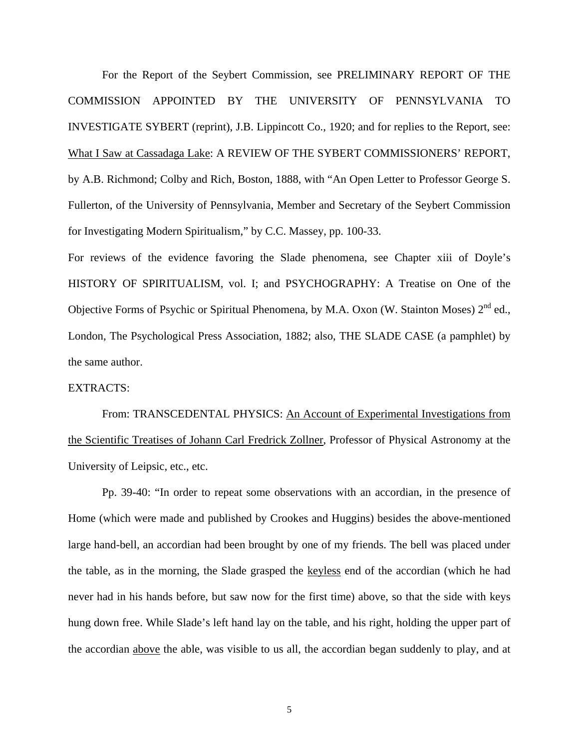For the Report of the Seybert Commission, see PRELIMINARY REPORT OF THE COMMISSION APPOINTED BY THE UNIVERSITY OF PENNSYLVANIA TO INVESTIGATE SYBERT (reprint), J.B. Lippincott Co., 1920; and for replies to the Report, see: What I Saw at Cassadaga Lake: A REVIEW OF THE SYBERT COMMISSIONERS' REPORT, by A.B. Richmond; Colby and Rich, Boston, 1888, with "An Open Letter to Professor George S. Fullerton, of the University of Pennsylvania, Member and Secretary of the Seybert Commission for Investigating Modern Spiritualism," by C.C. Massey, pp. 100-33.

For reviews of the evidence favoring the Slade phenomena, see Chapter xiii of Doyle's HISTORY OF SPIRITUALISM, vol. I; and PSYCHOGRAPHY: A Treatise on One of the Objective Forms of Psychic or Spiritual Phenomena, by M.A. Oxon (W. Stainton Moses) 2<sup>nd</sup> ed., London, The Psychological Press Association, 1882; also, THE SLADE CASE (a pamphlet) by the same author.

## EXTRACTS:

From: TRANSCEDENTAL PHYSICS: An Account of Experimental Investigations from the Scientific Treatises of Johann Carl Fredrick Zollner, Professor of Physical Astronomy at the University of Leipsic, etc., etc.

Pp. 39-40: "In order to repeat some observations with an accordian, in the presence of Home (which were made and published by Crookes and Huggins) besides the above-mentioned large hand-bell, an accordian had been brought by one of my friends. The bell was placed under the table, as in the morning, the Slade grasped the keyless end of the accordian (which he had never had in his hands before, but saw now for the first time) above, so that the side with keys hung down free. While Slade's left hand lay on the table, and his right, holding the upper part of the accordian above the able, was visible to us all, the accordian began suddenly to play, and at